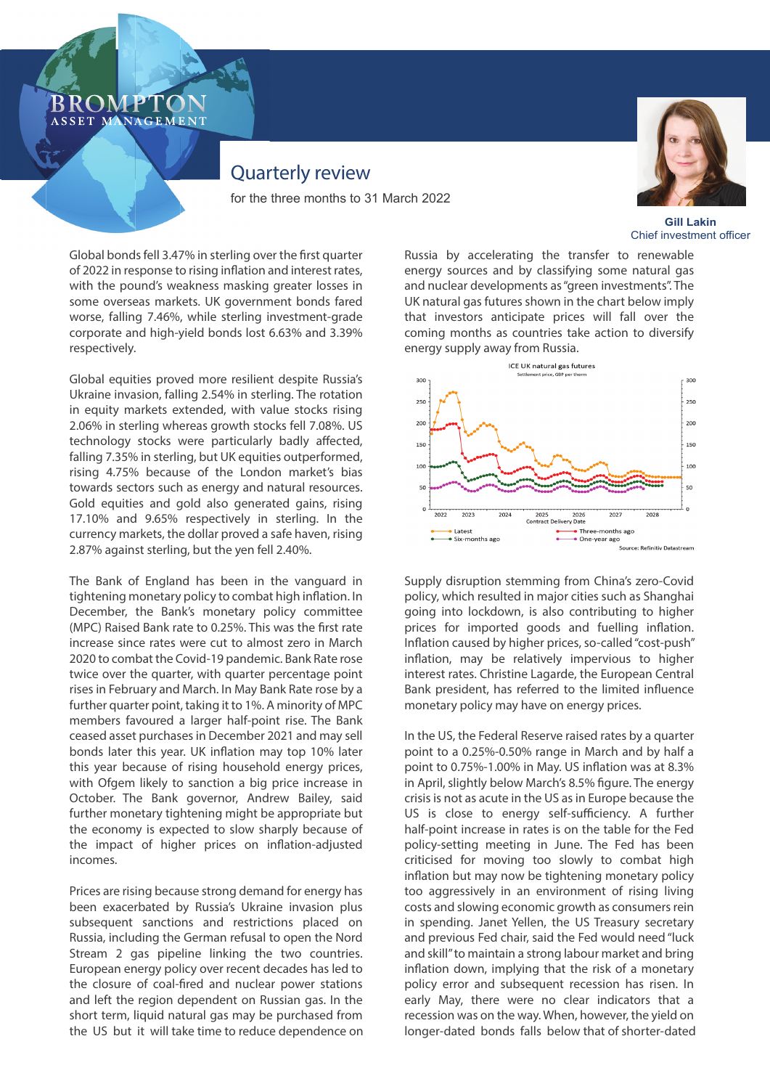### **ROMPT** ASSET MANAGEMENT

# Quarterly review

for the three months to 31 March 2022



**Gill Lakin** Chief investment officer

Global bonds fell 3.47% in sterling over the first quarter of 2022 in response to rising inflation and interest rates, with the pound's weakness masking greater losses in some overseas markets. UK government bonds fared worse, falling 7.46%, while sterling investment-grade corporate and high-yield bonds lost 6.63% and 3.39% respectively.

Global equities proved more resilient despite Russia's Ukraine invasion, falling 2.54% in sterling. The rotation in equity markets extended, with value stocks rising 2.06% in sterling whereas growth stocks fell 7.08%. US technology stocks were particularly badly affected, falling 7.35% in sterling, but UK equities outperformed, rising 4.75% because of the London market's bias towards sectors such as energy and natural resources. Gold equities and gold also generated gains, rising 17.10% and 9.65% respectively in sterling. In the currency markets, the dollar proved a safe haven, rising 2.87% against sterling, but the yen fell 2.40%.

The Bank of England has been in the vanguard in tightening monetary policy to combat high inflation. In December, the Bank's monetary policy committee (MPC) Raised Bank rate to 0.25%. This was the first rate increase since rates were cut to almost zero in March 2020 to combat the Covid-19 pandemic. Bank Rate rose twice over the quarter, with quarter percentage point rises in February and March. In May Bank Rate rose by a further quarter point, taking it to 1%. A minority of MPC members favoured a larger half-point rise. The Bank ceased asset purchases in December 2021 and may sell bonds later this year. UK inflation may top 10% later this year because of rising household energy prices, with Ofgem likely to sanction a big price increase in October. The Bank governor, Andrew Bailey, said further monetary tightening might be appropriate but the economy is expected to slow sharply because of the impact of higher prices on inflation-adjusted incomes.

Prices are rising because strong demand for energy has been exacerbated by Russia's Ukraine invasion plus subsequent sanctions and restrictions placed on Russia, including the German refusal to open the Nord Stream 2 gas pipeline linking the two countries. European energy policy over recent decades has led to the closure of coal-fired and nuclear power stations and left the region dependent on Russian gas. In the short term, liquid natural gas may be purchased from the US but it will take time to reduce dependence on

Russia by accelerating the transfer to renewable energy sources and by classifying some natural gas and nuclear developments as "green investments". The UK natural gas futures shown in the chart below imply that investors anticipate prices will fall over the coming months as countries take action to diversify energy supply away from Russia.



Supply disruption stemming from China's zero-Covid policy, which resulted in major cities such as Shanghai going into lockdown, is also contributing to higher prices for imported goods and fuelling inflation. Inflation caused by higher prices, so-called "cost-push" inflation, may be relatively impervious to higher interest rates. Christine Lagarde, the European Central Bank president, has referred to the limited influence monetary policy may have on energy prices.

In the US, the Federal Reserve raised rates by a quarter point to a 0.25%-0.50% range in March and by half a point to 0.75%-1.00% in May. US inflation was at 8.3% in April, slightly below March's 8.5% figure. The energy crisis is not as acute in the US as in Europe because the US is close to energy self-sufficiency. A further half-point increase in rates is on the table for the Fed policy-setting meeting in June. The Fed has been criticised for moving too slowly to combat high inflation but may now be tightening monetary policy too aggressively in an environment of rising living costs and slowing economic growth as consumers rein in spending. Janet Yellen, the US Treasury secretary and previous Fed chair, said the Fed would need "luck and skill" to maintain a strong labour market and bring inflation down, implying that the risk of a monetary policy error and subsequent recession has risen. In early May, there were no clear indicators that a recession was on the way. When, however, the yield on longer-dated bonds falls below that of shorter-dated